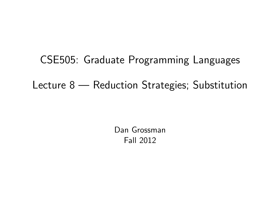CSE505: Graduate Programming Languages Lecture 8 — Reduction Strategies; Substitution

> <span id="page-0-0"></span>Dan Grossman Fall 2012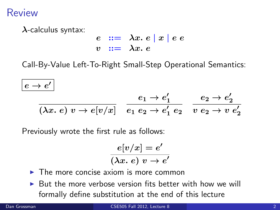## Review

 $\lambda$ -calculus syntax:

$$
\begin{array}{ccl}\ne & ::= & \lambda x. e \mid x \mid e e \\
v & ::= & \lambda x. e\n\end{array}
$$

Call-By-Value Left-To-Right Small-Step Operational Semantics:

$$
| \, e \rightarrow e' \, |
$$

$$
\frac{e_1 \to e'_1}{(\lambda x. e) v \to e[v/x]} \frac{e_1 \to e'_1}{e_1 e_2 \to e'_1 e_2} \frac{e_2 \to e'_2}{v e_2 \to v e'_2}
$$

Previously wrote the first rule as follows:

$$
\frac{e[v/x] = e'}{(\lambda x.\ e)\ v \to e'}
$$

- $\triangleright$  The more concise axiom is more common
- $\triangleright$  But the more verbose version fits better with how we will formally define substitution at the end of this lecture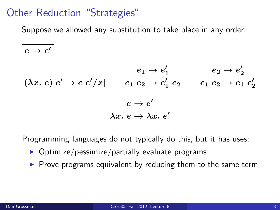# Other Reduction "Strategies"

Suppose we allowed any substitution to take place in any order:

$$
| \, e \rightarrow e' \, |
$$

$$
\frac{e_1 \rightarrow e'_1}{(\lambda x. e) e' \rightarrow e[e'/x]} \qquad \frac{e_1 \rightarrow e'_1}{e_1 e_2 \rightarrow e'_1 e_2} \qquad \frac{e_2 \rightarrow e'_2}{e_1 e_2 \rightarrow e_1 e'_2}
$$
\n
$$
\frac{e \rightarrow e'}{\lambda x. e \rightarrow \lambda x. e'}
$$

Programming languages do not typically do this, but it has uses:

- $\triangleright$  Optimize/pessimize/partially evaluate programs
- $\triangleright$  Prove programs equivalent by reducing them to the same term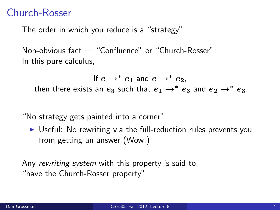# Church-Rosser

The order in which you reduce is a "strategy"

Non-obvious fact — "Confluence" or "Church-Rosser": In this pure calculus,

If  $e \rightarrow^* e_1$  and  $e \rightarrow^* e_2$ . then there exists an  $e_3$  such that  $e_1 \rightarrow^* e_3$  and  $e_2 \rightarrow^* e_3$ 

"No strategy gets painted into a corner"

 $\triangleright$  Useful: No rewriting via the full-reduction rules prevents you from getting an answer (Wow!)

Any rewriting system with this property is said to, "have the Church-Rosser property"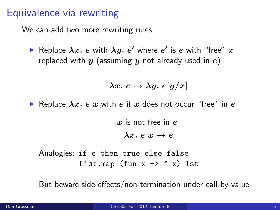## Equivalence via rewriting

We can add two more rewriting rules:

 $\blacktriangleright$  Replace  $\lambda x.$   $e$  with  $\lambda y.$   $e'$  where  $e'$  is  $e$  with "free"  $x$ replaced with  $y$  (assuming  $y$  not already used in  $e$ )

$$
\lambda x.\ e \to \lambda y.\ e[y/x]
$$

Replace  $\lambda x$ . e x with e if x does not occur "free" in e

 $x$  is not free in  $e$  $\lambda x. e x \rightarrow e$ 

Analogies: if e then true else false List.map (fun  $x \rightarrow f(x)$  lst

But beware side-effects/non-termination under call-by-value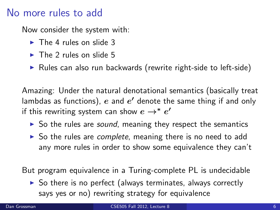## No more rules to add

Now consider the system with:

- $\blacktriangleright$  The 4 rules on slide 3
- $\blacktriangleright$  The 2 rules on slide 5
- $\triangleright$  Rules can also run backwards (rewrite right-side to left-side)

Amazing: Under the natural denotational semantics (basically treat lambdas as functions),  $e$  and  $e^\prime$  denote the same thing if and only if this rewriting system can show  $e \to^* e'$ 

- $\triangleright$  So the rules are *sound*, meaning they respect the semantics
- $\triangleright$  So the rules are *complete*, meaning there is no need to add any more rules in order to show some equivalence they can't

But program equivalence in a Turing-complete PL is undecidable

 $\triangleright$  So there is no perfect (always terminates, always correctly says yes or no) rewriting strategy for equivalence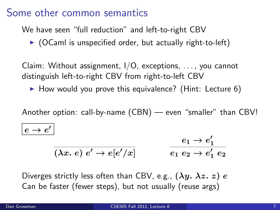## Some other common semantics

We have seen "full reduction" and left-to-right CBV

 $\triangleright$  (OCaml is unspecified order, but actually right-to-left)

Claim: Without assignment, I/O, exceptions, . . . , you cannot distinguish left-to-right CBV from right-to-left CBV

 $\blacktriangleright$  How would you prove this equivalence? (Hint: Lecture 6)

Another option: call-by-name (CBN) — even "smaller" than CBV!

$$
e \to e'
$$

$$
\frac{e_1 \to e_1'}{(\lambda x. e) e' \to e[e'/x]} \qquad \qquad \frac{e_1 \to e_1'}{e_1 e_2 \to e_1' e_2}
$$

Diverges strictly less often than CBV, e.g.,  $(\lambda y. \lambda z. z) e$ Can be faster (fewer steps), but not usually (reuse args)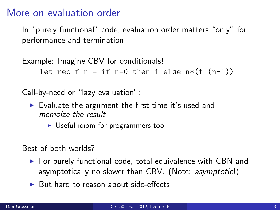### More on evaluation order

In "purely functional" code, evaluation order matters "only" for performance and termination

Example: Imagine CBV for conditionals! let rec f  $n =$  if  $n=0$  then 1 else  $n*(f (n-1))$ 

Call-by-need or "lazy evaluation":

- $\triangleright$  Evaluate the argument the first time it's used and memoize the result
	- $\triangleright$  Useful idiom for programmers too

Best of both worlds?

- $\triangleright$  For purely functional code, total equivalence with CBN and asymptotically no slower than CBV. (Note: asymptotic!)
- $\triangleright$  But hard to reason about side-effects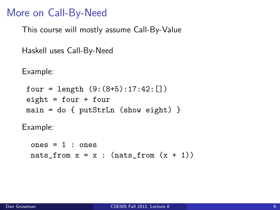## More on Call-By-Need

This course will mostly assume Call-By-Value

```
Haskell uses Call-By-Need
```
Example:

```
four = length (9:(8+5):17:42:[])eight = four + fourmain = do { putStrLn (show eight) }
```
Example:

```
ones = 1: ones
nats_from x = x : (nats_from(x + 1))
```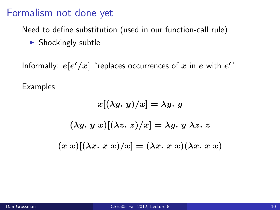## Formalism not done yet

Need to define substitution (used in our function-call rule)

 $\blacktriangleright$  Shockingly subtle

Informally:  $e[e'/x]$  "replaces occurrences of  $x$  in  $e$  with  $e^{\prime n}$ Examples:

$$
x[(\lambda y. y)/x] = \lambda y. y
$$

$$
(\lambda y. y x)[(\lambda z. z)/x] = \lambda y. y \lambda z. z
$$

$$
(x x)[(\lambda x. x x)/x] = (\lambda x. x x)(\lambda x. x x)
$$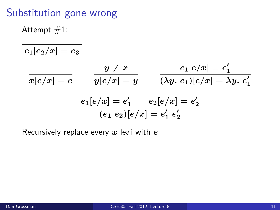# Substitution gone wrong

Attempt  $#1$ :

$$
\begin{array}{ll}\n\hline\ne_1[e_2/x] = e_3 \\
\hline\n\overline{x[e/x]} = e & y \neq x \\
\hline\ny[e/x] = y & \overline{(\lambda y. e_1)[e/x]} = e'_1 \\
\hline\n\frac{e_1[e/x] = e'_1}{(e_1 e_2)[e/x] = e'_1 e'_2} \\
\hline\n\end{array}
$$

Recursively replace every  $x$  leaf with  $e$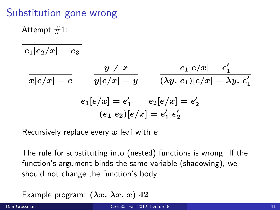# Substitution gone wrong

Attempt  $#1$ :

$$
\begin{aligned}\n\overline{e_1[e_2/x] = e_3} \\
\overline{x[e/x] = e} \qquad \overline{y[e/x] = y} \qquad \overline{e_1[e/x] = e'_1} \\
\overline{y[e/x] = y} \qquad \overline{(\lambda y. e_1)[e/x] = \lambda y. e'_1} \\
\overline{e_1[e/x] = e'_1} \qquad \overline{e_2[e/x] = e'_2} \\
\overline{(e_1 \ e_2)[e/x] = e'_1 \ e'_2}\n\end{aligned}
$$

Recursively replace every  $x$  leaf with  $e$ 

The rule for substituting into (nested) functions is wrong: If the function's argument binds the same variable (shadowing), we should not change the function's body

Example program:  $(\lambda x.\ \lambda x.\ x)$  42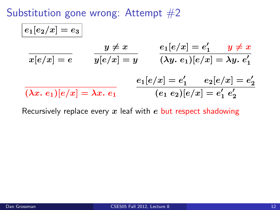Substitution gone wrong: Attempt  $#2$ 

$$
\begin{array}{ll}\n\hline\ne_1[e_2/x] = e_3 \\
\hline\nx[e/x] = e & y \neq x \\
\hline\ny[e/x] = y & \lambda y.\ e_1 \text{ is } e_1' = \lambda y.\ e_1' \\
\hline\n\hline\n\left(\lambda x.\ e_1\right)[e/x] = \lambda x.\ e_1 & e_1 \text{ is } e_1' = e_1' \\
\hline\n\hline\n\left(\lambda x.\ e_1\right)[e/x] = \lambda x.\ e_1 & e_1 \text{ is } e_1' = e_1' = e_1' \\
\hline\n\hline\n\end{array}
$$

Recursively replace every  $x$  leaf with  $e$  but respect shadowing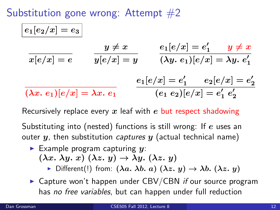Substitution gone wrong: Attempt  $#2$ 

$$
\cfrac{e_1[e_2/x] = e_3}{x[e/x] = e} \qquad \cfrac{y \neq x}{y[e/x] = y} \qquad \cfrac{e_1[e/x] = e'_1}{(\lambda y. e_1)[e/x] = \lambda y. e'_1}
$$
\n
$$
\cfrac{e_1[e/x] = e'_1}{(\lambda x. e_1)[e/x] = \lambda x. e_1} \qquad \cfrac{e_1[e/x] = e'_1}{(e_1 e_2)[e/x] = e'_1 e'_2}
$$

Recursively replace every x leaf with e but respect shadowing

Substituting into (nested) functions is still wrong: If e uses an outer  $y$ , then substitution *captures*  $y$  (actual technical name)

Example program capturing  $y$ :  $(\lambda x. \lambda y. x) (\lambda z. y) \rightarrow \lambda y. (\lambda z. y)$ 

 $\triangleright$  Different(!) from:  $(\lambda a. \lambda b. a) (\lambda z. y) \rightarrow \lambda b. (\lambda z. y)$ 

 $\triangleright$  Capture won't happen under CBV/CBN if our source program has no free variables, but can happen under full reduction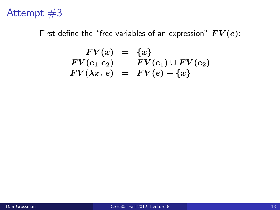## Attempt  $#3$

First define the "free variables of an expression"  $FV(e)$ :

$$
FV(x) = \{x\}FV(e_1 e_2) = FV(e_1) \cup FV(e_2)FV(\lambda x. e) = FV(e) - \{x\}
$$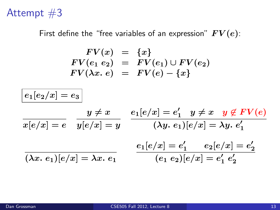## Attempt  $#3$

First define the "free variables of an expression"  $FV(e)$ :

$$
FV(x) = \{x\} \nFV(e_1 e_2) = FV(e_1) \cup FV(e_2) \nFV(\lambda x. e) = FV(e) - \{x\}
$$

$$
\begin{array}{lll}\n\hline e_1[e_2/x] = e_3 \\
\hline\n\overline{x[e/x] = e} & \overline{y[e/x] = y} & \overline{e_1[e/x] = e'_1} & \underline{y \neq x} & \underline{y \notin FV(e)}} \\
\hline\n\overline{x[e/x] = e} & \overline{y[e/x] = y} & \overline{(xy, e_1)[e/x] = xy, e'_1} \\
\hline\n\overline{( \lambda x. e_1)[e/x] = \lambda x. e_1} & \overline{e_1[e/x] = e'_1} & \overline{e'_2} \\
\hline\n\end{array}
$$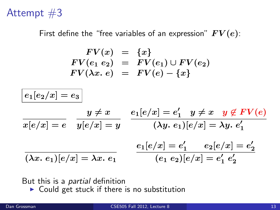## Attempt  $#3$

First define the "free variables of an expression"  $FV(e)$ :

$$
\begin{array}{rcl} FV(x) & = & \{x\} \\ FV(e_1 \ e_2) & = & FV(e_1) \cup FV(e_2) \\ FV(\lambda x. \ e) & = & FV(e) - \{x\} \end{array}
$$

$$
\boxed{e_1[e_2/x]=e_3}
$$

$$
\frac{y \neq x}{x[e/x] = e} \quad \frac{y \neq x}{y[e/x] = y} \quad \frac{e_1[e/x] = e'_1 \quad y \neq x \quad y \not\in FV(e)}{(\lambda y. \ e_1)[e/x] = \lambda y. \ e'_1}
$$
\n
$$
\frac{e_1[e/x] = e'_1 \quad e_2[e/x] = e'_2}{(e_1 \ e_2)[e/x] = e'_1 \ e'_2}
$$

#### But this is a *partial* definition

 $\triangleright$  Could get stuck if there is no substitution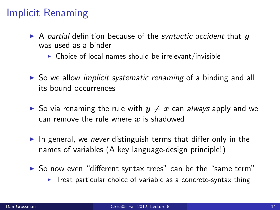# Implicit Renaming

- A partial definition because of the syntactic accident that  $y$ was used as a binder
	- $\triangleright$  Choice of local names should be irrelevant/invisible
- $\triangleright$  So we allow *implicit systematic renaming* of a binding and all its bound occurrences
- $\triangleright$  So via renaming the rule with  $y \neq x$  can *always* apply and we can remove the rule where  $x$  is shadowed
- In general, we never distinguish terms that differ only in the names of variables (A key language-design principle!)
- $\triangleright$  So now even "different syntax trees" can be the "same term"
	- $\triangleright$  Treat particular choice of variable as a concrete-syntax thing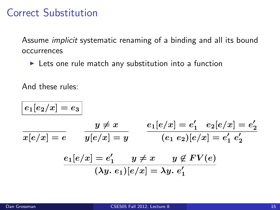## Correct Substitution

Assume implicit systematic renaming of a binding and all its bound occurrences

 $\blacktriangleright$  Lets one rule match any substitution into a function

And these rules:

$$
e_1[e_2/x] = e_3
$$
  

$$
y \neq x
$$
  

$$
e_1[e/x] = e'_1
$$
  

$$
e_2[e/x] = e'_2
$$
  

$$
e_1[e/x] = e'_1
$$
  

$$
e_1[e/x] = e'_1
$$
  

$$
e_2[e/x] = e'_1
$$
  

$$
e_2[e/x] = e'_2
$$
  

$$
e_1[e/x] = e'_1
$$
  

$$
y \neq x
$$
  

$$
y \notin FV(e)
$$
  

$$
( \lambda y. e_1)[e/x] = \lambda y. e'_1
$$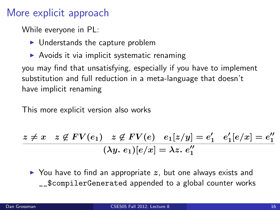# More explicit approach

While everyone in PL:

- $\blacktriangleright$  Understands the capture problem
- $\triangleright$  Avoids it via implicit systematic renaming

you may find that unsatisfying, especially if you have to implement substitution and full reduction in a meta-language that doesn't have implicit renaming

This more explicit version also works

$$
\frac{z \neq x \quad z \not\in FV(e_1) \quad z \not\in FV(e) \quad e_1[z/y] = e'_1 \quad e'_1[e/x] = e''_1}{(\lambda y. \ e_1)[e/x] = \lambda z. \ e''_1}
$$

 $\triangleright$  You have to find an appropriate z, but one always exists and \_\_\$compilerGenerated appended to a global counter works